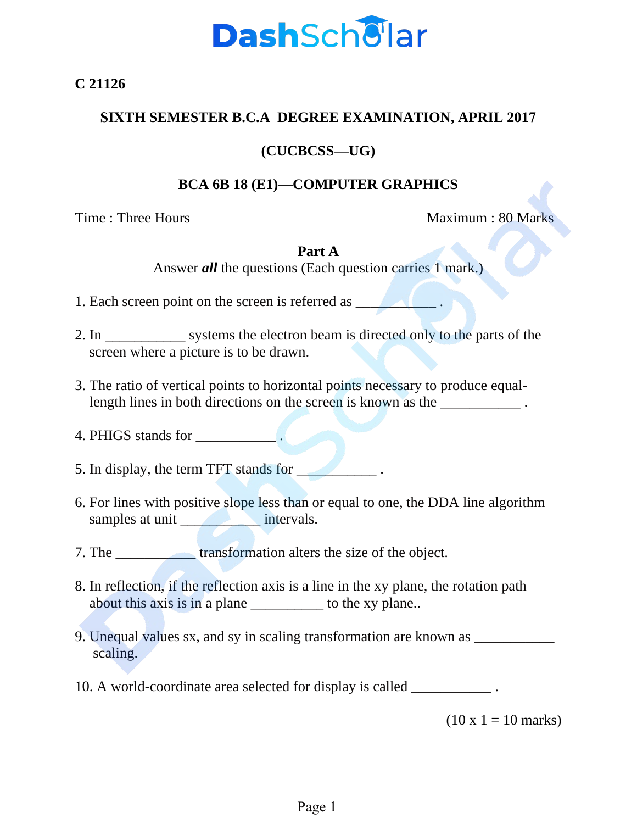

**C 21126**

### **SIXTH SEMESTER B.C.A DEGREE EXAMINATION, APRIL 2017**

### **(CUCBCSS—UG)**

### **BCA 6B 18 (E1)—COMPUTER GRAPHICS**

Time : Three Hours Maximum : 80 Marks

#### **Part A**

Answer *all* the questions (Each question carries 1 mark.)

1. Each screen point on the screen is referred as \_\_\_\_\_\_\_\_\_\_\_\_\_\_\_\_\_\_\_\_\_\_\_\_\_\_\_\_\_\_

- 2. In \_\_\_\_\_\_\_\_\_\_\_\_\_ systems the electron beam is directed only to the parts of the screen where a picture is to be drawn.
- 3. The ratio of vertical points to horizontal points necessary to produce equallength lines in both directions on the screen is known as the  $\blacksquare$ .
- 4. PHIGS stands for

5. In display, the term TFT stands for \_\_\_\_\_\_\_\_\_\_\_ .

- 6. For lines with positive slope less than or equal to one, the DDA line algorithm samples at unit \_\_\_\_\_\_\_\_\_\_\_\_\_\_\_\_\_\_\_ intervals.
- 7. The \_\_\_\_\_\_\_\_\_\_\_ transformation alters the size of the object.
- 8. In reflection, if the reflection axis is a line in the xy plane, the rotation path about this axis is in a plane \_\_\_\_\_\_\_\_\_\_ to the xy plane..
- 9. Unequal values sx, and sy in scaling transformation are known as \_\_\_\_\_\_\_\_\_\_\_\_ scaling.
- 10. A world-coordinate area selected for display is called  $\blacksquare$

 $(10 \times 1 = 10 \text{ marks})$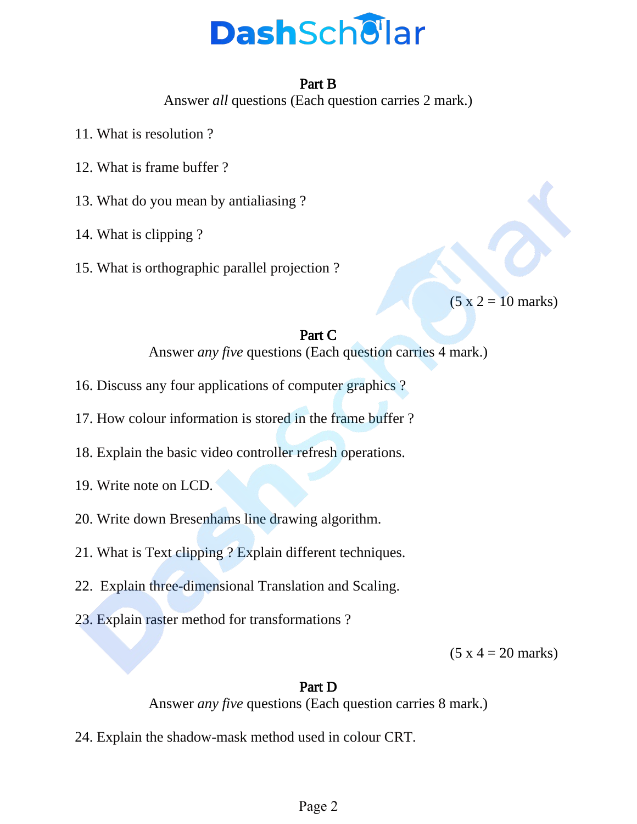# **DashSchellar**

### Part B

Answer *all* questions (Each question carries 2 mark.)

- 11. What is resolution ?
- 12. What is frame buffer ?
- 13. What do you mean by antialiasing ?
- 14. What is clipping ?
- 15. What is orthographic parallel projection ?

 $(5 x 2 = 10 \text{ marks})$ 

## Part C

Answer *any five* questions (Each question carries 4 mark.)

- 16. Discuss any four applications of computer graphics ?
- 17. How colour information is stored in the frame buffer ?
- 18. Explain the basic video controller refresh operations.
- 19. Write note on LCD.
- 20. Write down Bresenhams line drawing algorithm.
- 21. What is Text clipping ? Explain different techniques.
- 22. Explain three-dimensional Translation and Scaling.
- 23. Explain raster method for transformations ?

 $(5 x 4 = 20 \text{ marks})$ 

### Part D

Answer *any five* questions (Each question carries 8 mark.)

24. Explain the shadow-mask method used in colour CRT.